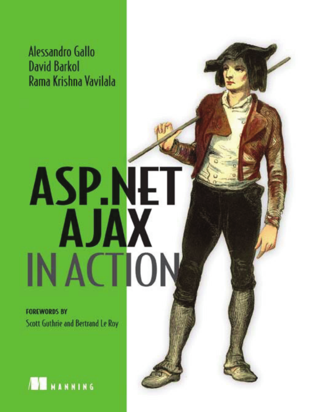Alessandro Gallo **David Barkol** Rama Krishna Vavilala

# **ASP.NET AJAX IN ACTION**

**FOREWORDS BY** Scott Guthrie and Bertrand Le Roy

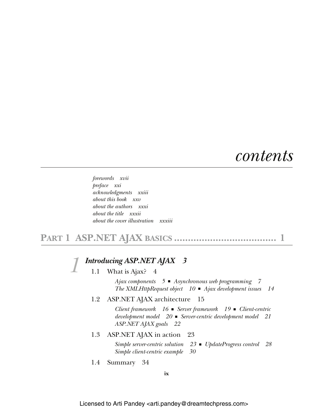## *contents*

*forewords xvii preface xxi acknowledgments xxiii about this book xxv about the authors xxxi about the title xxxii about the cover illustration xxxiii*

## **PART 1 ASP.NET AJAX BASICS ..................................... 1**

# *1.1 What is Ajax?* 4

1.1 What is Ajax? 4

*Ajax components 5* ■ *Asynchronous web programming 7 The XMLHttpRequest object 10* ■ *Ajax development issues 14*

1.2 ASP.NET AJAX architecture 15

*Client framework 16* ■ *Server framework 19* ■ *Client-centric development model 20* ■ *Server-centric development model 21 ASP.NET AJAX goals 22*

1.3 ASP.NET AJAX in action 23

*Simple server-centric solution 23* ■ *UpdateProgress control 28 Simple client-centric example 30*

1.4 Summary 34

**ix**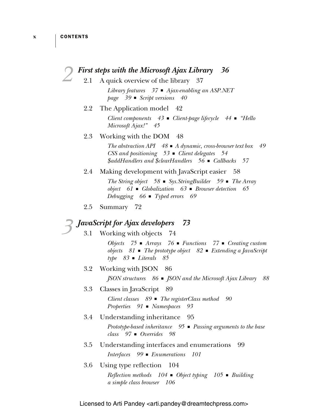|                                      | <b>First steps with the Microsoft Ajax Library</b> 36                                                                                                                                                 |  |
|--------------------------------------|-------------------------------------------------------------------------------------------------------------------------------------------------------------------------------------------------------|--|
| 2.1                                  | A quick overview of the library 37                                                                                                                                                                    |  |
|                                      | Library features $37$ $\blacksquare$ Ajax-enabling an ASP.NET<br>page $39$ Script versions $40$                                                                                                       |  |
| 2.2                                  | The Application model<br>-42                                                                                                                                                                          |  |
|                                      | Client components $43$ $\blacksquare$ Client-page lifecycle $44$ $\blacksquare$ "Hello<br>Microsoft Ajax!" 45                                                                                         |  |
| 2.3                                  | Working with the DOM<br>48                                                                                                                                                                            |  |
|                                      | The abstraction API $48 \blacksquare$ A dynamic, cross-browser text box<br>49<br>CSS and positioning $53$ $\blacksquare$ Client delegates $54$<br>\$addHandlers and \$clearHandlers 56 ■ Callbacks 57 |  |
| 2.4                                  | Making development with JavaScript easier 58                                                                                                                                                          |  |
|                                      | The String object $58$ = Sys. String Builder $59$ = The Array<br>object $61$ • Globalization $63$ • Browser detection $65$<br>Debugging $66$ $\blacksquare$ Typed errors<br>69                        |  |
| 2.5                                  | Summary 72                                                                                                                                                                                            |  |
| JavaScript for Ajax developers<br>73 |                                                                                                                                                                                                       |  |
| 3.1                                  | Working with objects<br>74                                                                                                                                                                            |  |
|                                      | Objects $75$ • Arrays $76$ • Functions $77$ • Creating custom<br>objects $81$ • The prototype object $82$ • Extending a JavaScript<br>$type$ 83 • Literals<br>85                                      |  |
| 3.2                                  | Working with JSON<br>- 86                                                                                                                                                                             |  |
|                                      | $JSON$ structures $86 \blacksquare$ $JSON$ and the Microsoft Ajax Library<br>88                                                                                                                       |  |
| 3.3                                  | Classes in JavaScript<br>- 89                                                                                                                                                                         |  |
|                                      | Client classes $89$ $\blacksquare$ The registerClass method<br>90<br>Properties $91 \blacksquare$ Namespaces<br>93                                                                                    |  |
| 3.4                                  | Understanding inheritance 95                                                                                                                                                                          |  |
|                                      | Prototype-based inheritance $95$ $\blacksquare$ Passing arguments to the base<br>$class$ 97 $\blacksquare$ Overrides 98                                                                               |  |
| 3.5                                  | Understanding interfaces and enumerations<br>-99                                                                                                                                                      |  |
|                                      | Interfaces 99 <b>Enumerations</b> 101                                                                                                                                                                 |  |
| 3.6                                  | Using type reflection<br>104                                                                                                                                                                          |  |
|                                      | <i>Reflection methods</i> $104$ ■ <i>Object typing</i> $105$ ■ <i>Building</i><br>a simple class browser<br>106                                                                                       |  |

Licensed to Arti Pandey <arti.pandey@dreamtechpress.com>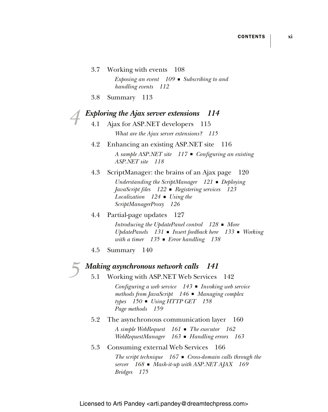- 3.7 Working with events 108 *Exposing an event 109* ■ *Subscribing to and handling events 112*
- 3.8 Summary 113

# *Exploring the Ajax server extensions* 114<br>4.1 Ajax for ASP.NET developers 115

- Ajax for ASP.NET developers 115 *What are the Ajax server extensions? 115*
- 4.2 Enhancing an existing ASP.NET site 116 *A sample ASP.NET site 117* ■ *Configuring an existing ASP.NET site 118*
- 4.3 ScriptManager: the brains of an Ajax page 120 *Understanding the ScriptManager 121* ■ *Deploying JavaScript files 122* ■ *Registering services 123 Localization 124* ■ *Using the ScriptManagerProxy 126*

### 4.4 Partial-page updates 127 *Introducing the UpdatePanel control 128* ■ *More UpdatePanels 131* ■ *Insert feedback here 133* ■ *Working with a timer 135* ■ *Error handling 138*

4.5 Summary 140

## *5 Making asynchronous network calls 141*

5.1 Working with ASP.NET Web Services 142

*Configuring a web service 143* ■ *Invoking web service methods from JavaScript 146* ■ *Managing complex types 150* ■ *Using HTTP GET 158 Page methods 159*

5.2 The asynchronous communication layer 160

*A simple WebRequest 161* ■ *The executor 162 WebRequestManager 163* ■ *Handling errors 163*

5.3 Consuming external Web Services 166

*The script technique 167* ■ *Cross-domain calls through the server 168* ■ *Mash-it-up with ASP.NET AJAX 169 Bridges 175*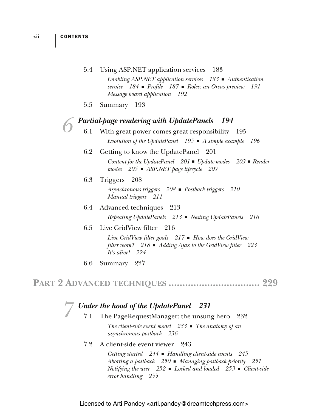#### 5.4 Using ASP.NET application services 183

*Enabling ASP.NET application services 183* ■ *Authentication service 184* ■ *Profile 187* ■ *Roles: an Orcas preview 191 Message board application 192*

5.5 Summary 193

# *Partial-page rendering with UpdatePanels* 194<br>6.1 With great power comes great responsibility 195

- With great power comes great responsibility *Evolution of the UpdatePanel 195* ■ *A simple example 196*
- 6.2 Getting to know the UpdatePanel 201 *Content for the UpdatePanel 201* ■ *Update modes 203* ■ *Render modes 205* ■ *ASP.NET page lifecycle 207*
- 6.3 Triggers 208

*Asynchronous triggers 208* ■ *Postback triggers 210 Manual triggers 211*

- 6.4 Advanced techniques 213 *Repeating UpdatePanels 213* ■ *Nesting UpdatePanels 216*
- 6.5 Live GridView filter 216

*Live GridView filter goals 217* ■ *How does the GridView filter work? 218* ■ *Adding Ajax to the GridView filter 223 It's alive! 224*

6.6 Summary 227

## **PART 2 ADVANCED TECHNIOUES .........................**

# *Fierry the hood of the UpdatePanel* 231<br>7.1 The PageRequestManager: the unsun

- The PageRequestManager: the unsung hero 232 *The client-side event model 233* ■ *The anatomy of an asynchronous postback 236*
	- 7.2 A client-side event viewer 243

*Getting started 244* ■ *Handling client-side events 245 Aborting a postback 250* ■ *Managing postback priority 251 Notifying the user 252* ■ *Locked and loaded 253* ■ *Client-side error handling 255*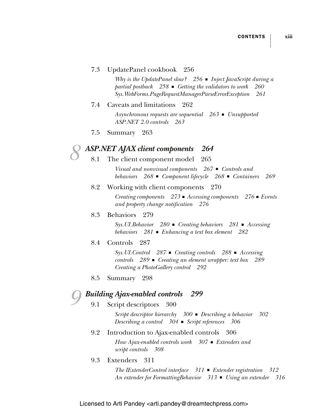#### 7.3 UpdatePanel cookbook 256

*Why is the UpdatePanel slow? 256* ■ *Inject JavaScript during a partial postback 258* ■ *Getting the validators to work 260 Sys.WebForms.PageRequestManagerParseErrorException 261*

7.4 Caveats and limitations 262 *Asynchronous requests are sequential 263* ■ *Unsupported* 

*ASP.NET 2.0 controls 263*

7.5 Summary 263

# *8 ASP.NET AJAX client components 264*

The client component model

*Visual and nonvisual components 267* ■ *Controls and behaviors 268* ■ *Component lifecycle 268* ■ *Containers 269*

#### 8.2 Working with client components 270

*Creating components 273* ■ *Accessing components 276* ■ *Events and property change notification 276*

#### 8.3 Behaviors 279

*Sys.UI.Behavior 280* ■ *Creating behaviors 281* ■ *Accessing behaviors 281* ■ *Enhancing a text box element 282*

#### 8.4 Controls 287

*Sys.UI.Control 287* ■ *Creating controls 288* ■ *Accessing controls 289* ■ *Creating an element wrapper: text box 289 Creating a PhotoGallery control 292*

8.5 Summary 298

## *9 Building Ajax-enabled controls 299*

Script descriptors 300

*Script descriptor hierarchy 300* ■ *Describing a behavior 302 Describing a control 304* ■ *Script references 306*

9.2 Introduction to Ajax-enabled controls 306

*How Ajax-enabled controls work 307* ■ *Extenders and script controls 308*

9.3 Extenders 311

*The IExtenderControl interface 311* ■ *Extender registration 312 An extender for FormattingBehavior 313* ■ *Using an extender 316*

Licensed to Arti Pandey <arti.pandey@dreamtechpress.com>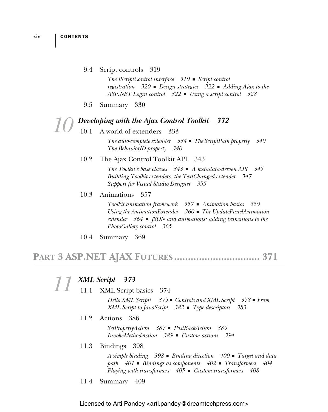#### 9.4 Script controls 319

*The IScriptControl interface 319* ■ *Script control registration 320* ■ *Design strategies 322* ■ *Adding Ajax to the ASP.NET Login control 322* ■ *Using a script control 328*

9.5 Summary 330

#### *10 Developing with the Ajax Control Toolkit 332*

#### 10.1 A world of extenders 333

*The auto-complete extender 334* ■ *The ScriptPath property 340 The BehaviorID property 340*

#### 10.2 The Ajax Control Toolkit API 343

*The Toolkit's base classes 343* ■ *A metadata-driven API 345 Building Toolkit extenders: the TextChanged extender 347 Support for Visual Studio Designer 355*

#### 10.3 Animations 357

*Toolkit animation framework 357* ■ *Animation basics 359 Using the AnimationExtender 360* ■ *The UpdatePanelAnimation extender 364* ■ *JSON and animations: adding transitions to the PhotoGallery control 365*

10.4 Summary 369

## **PART 3 ASP.NET AJAX FUTURES ............................... 371**

|      | XML Script 373                                                                                                                                                                                                                    |
|------|-----------------------------------------------------------------------------------------------------------------------------------------------------------------------------------------------------------------------------------|
|      | 11.1 XML Script basics 374                                                                                                                                                                                                        |
|      | Hello XML Script! $375 \bullet$ Controls and XML Script $378 \bullet$ From<br>XML Script to JavaScript $382$ ■ Type descriptors 383                                                                                               |
|      | 11.2 Actions 386                                                                                                                                                                                                                  |
|      | $SetPropertyAction 387 \blacksquare PostBackAction 389$<br>$InvokeMethodAction \quad 389$ $\blacksquare$ Custom actions 394                                                                                                       |
| 11.3 | Bindings 398                                                                                                                                                                                                                      |
|      | A simple binding $398$ $\blacksquare$ Binding direction $400 \blacksquare$ Target and data<br>path $401$ • Bindings as components $402$ • Transformers $404$<br>Playing with transformers $405 \bullet$ Custom transformers $408$ |

11.4 Summary 409

Licensed to Arti Pandey < arti.pandey@dreamtechpress.com>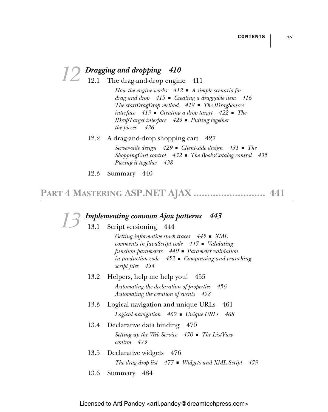- *12 Dragging and dropping 410* 12.1 The drag-and-drop engine 411 *How the engine works 412* ■ *A simple scenario for drag and drop 415* ■ *Creating a draggable item 416 The startDragDrop method 418* ■ *The IDragSource interface 419* ■ *Creating a drop target 422* ■ *The IDropTarget interface 423* ■ *Putting together the pieces 426* 12.2 A drag-and-drop shopping cart 427 *Server-side design 429* ■ *Client-side design 431* ■ *The ShoppingCart control 432* ■ *The BooksCatalog control 435 Piecing it together 438*
	- 12.3 Summary 440

## **PART 4 MASTERING ASP.NET AJAX .......................... 441**

*13 Implementing common Ajax patterns 443* 13.1 Script versioning 444 *Getting informative stack traces 445* ■ *XML comments in JavaScript code 447* ■ *Validating function parameters 449* ■ *Parameter validation in production code 452* ■ *Compressing and crunching script files 454* 13.2 Helpers, help me help you! 455 *Automating the declaration of properties 456 Automating the creation of events 458* 13.3 Logical navigation and unique URLs 461 *Logical navigation 462* ■ *Unique URLs 468* 13.4 Declarative data binding 470 *Setting up the Web Service 470* ■ *The ListView control 473* 13.5 Declarative widgets 476 *The drag-drop list 477* ■ *Widgets and XML Script 479* 13.6 Summary 484

Licensed to Arti Pandey <arti.pandey@dreamtechpress.com>